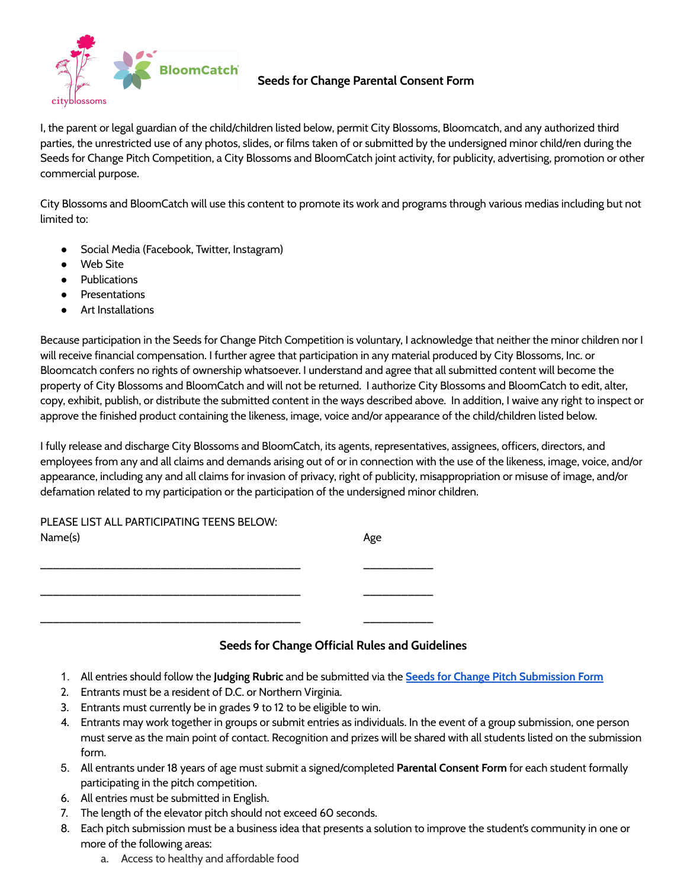

## **Seeds for Change Parental Consent Form**

I, the parent or legal guardian of the child/children listed below, permit City Blossoms, Bloomcatch, and any authorized third parties, the unrestricted use of any photos, slides, or films taken of or submitted by the undersigned minor child/ren during the Seeds for Change Pitch Competition, a City Blossoms and BloomCatch joint activity, for publicity, advertising, promotion or other commercial purpose.

City Blossoms and BloomCatch will use this content to promote its work and programs through various medias including but not limited to:

- Social Media (Facebook, Twitter, Instagram)
- Web Site
- Publications
- Presentations
- Art Installations

Because participation in the Seeds for Change Pitch Competition is voluntary, I acknowledge that neither the minor children nor I will receive financial compensation. I further agree that participation in any material produced by City Blossoms, Inc. or Bloomcatch confers no rights of ownership whatsoever. I understand and agree that all submitted content will become the property of City Blossoms and BloomCatch and will not be returned. I authorize City Blossoms and BloomCatch to edit, alter, copy, exhibit, publish, or distribute the submitted content in the ways described above. In addition, I waive any right to inspect or approve the finished product containing the likeness, image, voice and/or appearance of the child/children listed below.

I fully release and discharge City Blossoms and BloomCatch, its agents, representatives, assignees, officers, directors, and employees from any and all claims and demands arising out of or in connection with the use of the likeness, image, voice, and/or appearance, including any and all claims for invasion of privacy, right of publicity, misappropriation or misuse of image, and/or defamation related to my participation or the participation of the undersigned minor children.

PLEASE LIST ALL PARTICIPATING TEENS BELOW: Name(s) and a set of the set of the set of the set of the set of the set of the set of the set of the set of the set of the set of the set of the set of the set of the set of the set of the set of the set of the set of the

## **Seeds for Change Official Rules and Guidelines**

- 1. All entries should follow the **Judging Rubric** and be submitted via the **Seeds for Change Pitch [Submission](https://forms.gle/AbokbSGdpTBQMgdQA) Form**
- 2. Entrants must be a resident of D.C. or Northern Virginia.
- 3. Entrants must currently be in grades 9 to 12 to be eligible to win.

\_\_\_\_\_\_\_\_\_\_\_\_\_\_\_\_\_\_\_\_\_\_\_\_\_\_\_\_\_\_\_\_\_\_\_\_\_\_\_\_\_ \_\_\_\_\_\_\_\_\_\_\_

\_\_\_\_\_\_\_\_\_\_\_\_\_\_\_\_\_\_\_\_\_\_\_\_\_\_\_\_\_\_\_\_\_\_\_\_\_\_\_\_\_ \_\_\_\_\_\_\_\_\_\_\_

\_\_\_\_\_\_\_\_\_\_\_\_\_\_\_\_\_\_\_\_\_\_\_\_\_\_\_\_\_\_\_\_\_\_\_\_\_\_\_\_\_ \_\_\_\_\_\_\_\_\_\_\_

- 4. Entrants may work together in groups or submit entries as individuals. In the event of a group submission, one person must serve as the main point of contact. Recognition and prizes will be shared with all students listed on the submission form.
- 5. All entrants under 18 years of age must submit a signed/completed **Parental Consent Form** for each student formally participating in the pitch competition.
- 6. All entries must be submitted in English.
- 7. The length of the elevator pitch should not exceed 60 seconds.
- 8. Each pitch submission must be a business idea that presents a solution to improve the student's community in one or more of the following areas:
	- a. Access to healthy and affordable food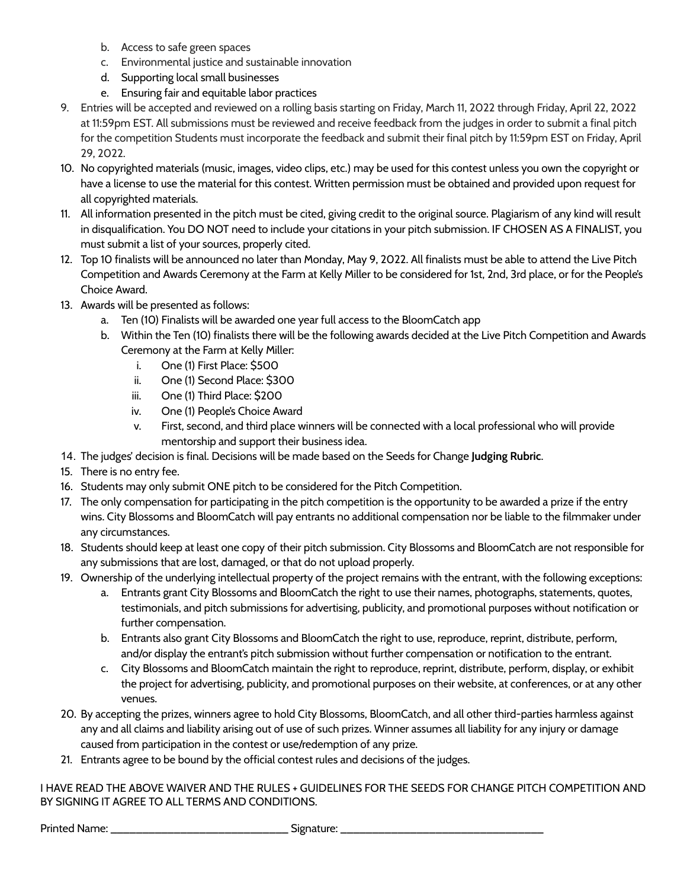- b. Access to safe green spaces
- c. Environmental justice and sustainable innovation
- d. Supporting local small businesses
- e. Ensuring fair and equitable labor practices
- 9. Entries will be accepted and reviewed on a rolling basis starting on Friday, March 11, 2022 through Friday, April 22, 2022 at 11:59pm EST. All submissions must be reviewed and receive feedback from the judges in order to submit a final pitch for the competition Students must incorporate the feedback and submit their final pitch by 11:59pm EST on Friday, April 29, 2022.
- 10. No copyrighted materials (music, images, video clips, etc.) may be used for this contest unless you own the copyright or have a license to use the material for this contest. Written permission must be obtained and provided upon request for all copyrighted materials.
- 11. All information presented in the pitch must be cited, giving credit to the original source. Plagiarism of any kind will result in disqualification. You DO NOT need to include your citations in your pitch submission. IF CHOSEN AS A FINALIST, you must submit a list of your sources, properly cited.
- 12. Top 10 finalists will be announced no later than Monday, May 9, 2022. All finalists must be able to attend the Live Pitch Competition and Awards Ceremony at the Farm at Kelly Miller to be considered for 1st, 2nd, 3rd place, or for the People's Choice Award.
- 13. Awards will be presented as follows:
	- a. Ten (10) Finalists will be awarded one year full access to the BloomCatch app
	- b. Within the Ten (10) finalists there will be the following awards decided at the Live Pitch Competition and Awards Ceremony at the Farm at Kelly Miller:
		- i. One (1) First Place: \$500
		- ii. One (1) Second Place: \$300
		- iii. One (1) Third Place: \$200
		- iv. One (1) People's Choice Award
		- v. First, second, and third place winners will be connected with a local professional who will provide mentorship and support their business idea.
- 14. The judges' decision is final. Decisions will be made based on the Seeds for Change **Judging Rubric**.
- 15. There is no entry fee.
- 16. Students may only submit ONE pitch to be considered for the Pitch Competition.
- 17. The only compensation for participating in the pitch competition is the opportunity to be awarded a prize if the entry wins. City Blossoms and BloomCatch will pay entrants no additional compensation nor be liable to the filmmaker under any circumstances.
- 18. Students should keep at least one copy of their pitch submission. City Blossoms and BloomCatch are not responsible for any submissions that are lost, damaged, or that do not upload properly.
- 19. Ownership of the underlying intellectual property of the project remains with the entrant, with the following exceptions:
	- a. Entrants grant City Blossoms and BloomCatch the right to use their names, photographs, statements, quotes, testimonials, and pitch submissions for advertising, publicity, and promotional purposes without notification or further compensation.
	- b. Entrants also grant City Blossoms and BloomCatch the right to use, reproduce, reprint, distribute, perform, and/or display the entrant's pitch submission without further compensation or notification to the entrant.
	- c. City Blossoms and BloomCatch maintain the right to reproduce, reprint, distribute, perform, display, or exhibit the project for advertising, publicity, and promotional purposes on their website, at conferences, or at any other venues.
- 20. By accepting the prizes, winners agree to hold City Blossoms, BloomCatch, and all other third-parties harmless against any and all claims and liability arising out of use of such prizes. Winner assumes all liability for any injury or damage caused from participation in the contest or use/redemption of any prize.
- 21. Entrants agree to be bound by the official contest rules and decisions of the judges.

I HAVE READ THE ABOVE WAIVER AND THE RULES + GUIDELINES FOR THE SEEDS FOR CHANGE PITCH COMPETITION AND BY SIGNING IT AGREE TO ALL TERMS AND CONDITIONS.

Printed Name: \_\_\_\_\_\_\_\_\_\_\_\_\_\_\_\_\_\_\_\_\_\_\_\_\_\_\_\_ Signature: \_\_\_\_\_\_\_\_\_\_\_\_\_\_\_\_\_\_\_\_\_\_\_\_\_\_\_\_\_\_\_\_